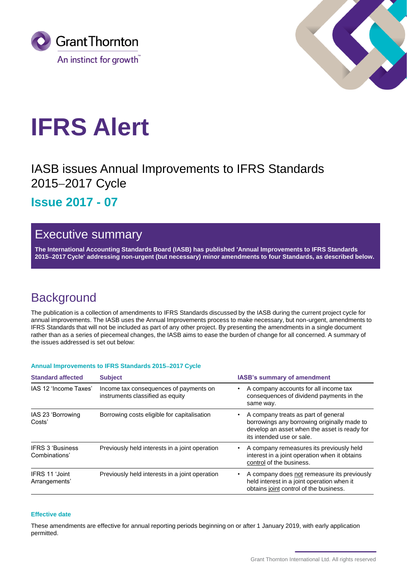



# **IFRS Alert**

IASB issues Annual Improvements to IFRS Standards 2015-2017 Cycle

**Issue 2017 - 07**

## Executive summary

**The International Accounting Standards Board (IASB) has published 'Annual Improvements to IFRS Standards 20152017 Cycle' addressing non-urgent (but necessary) minor amendments to four Standards, as described below.**

## **Background**

The publication is a collection of amendments to IFRS Standards discussed by the IASB during the current project cycle for annual improvements. The IASB uses the Annual Improvements process to make necessary, but non-urgent, amendments to IFRS Standards that will not be included as part of any other project. By presenting the amendments in a single document rather than as a series of piecemeal changes, the IASB aims to ease the burden of change for all concerned. A summary of the issues addressed is set out below:

### **Annual Improvements to IFRS Standards 20152017 Cycle**

| <b>Standard affected</b>                 | <b>Subject</b>                                                             | <b>IASB's summary of amendment</b>                                                                                                                              |
|------------------------------------------|----------------------------------------------------------------------------|-----------------------------------------------------------------------------------------------------------------------------------------------------------------|
| IAS 12 'Income Taxes'                    | Income tax consequences of payments on<br>instruments classified as equity | A company accounts for all income tax<br>٠<br>consequences of dividend payments in the<br>same way.                                                             |
| IAS 23 'Borrowing<br>Costs'              | Borrowing costs eligible for capitalisation                                | A company treats as part of general<br>borrowings any borrowing originally made to<br>develop an asset when the asset is ready for<br>its intended use or sale. |
| <b>IFRS 3 'Business</b><br>Combinations' | Previously held interests in a joint operation                             | A company remeasures its previously held<br>$\bullet$<br>interest in a joint operation when it obtains<br>control of the business.                              |
| IFRS 11 'Joint<br>Arrangements'          | Previously held interests in a joint operation                             | A company does not remeasure its previously<br>٠<br>held interest in a joint operation when it<br>obtains joint control of the business.                        |

#### **Effective date**

These amendments are effective for annual reporting periods beginning on or after 1 January 2019, with early application permitted.